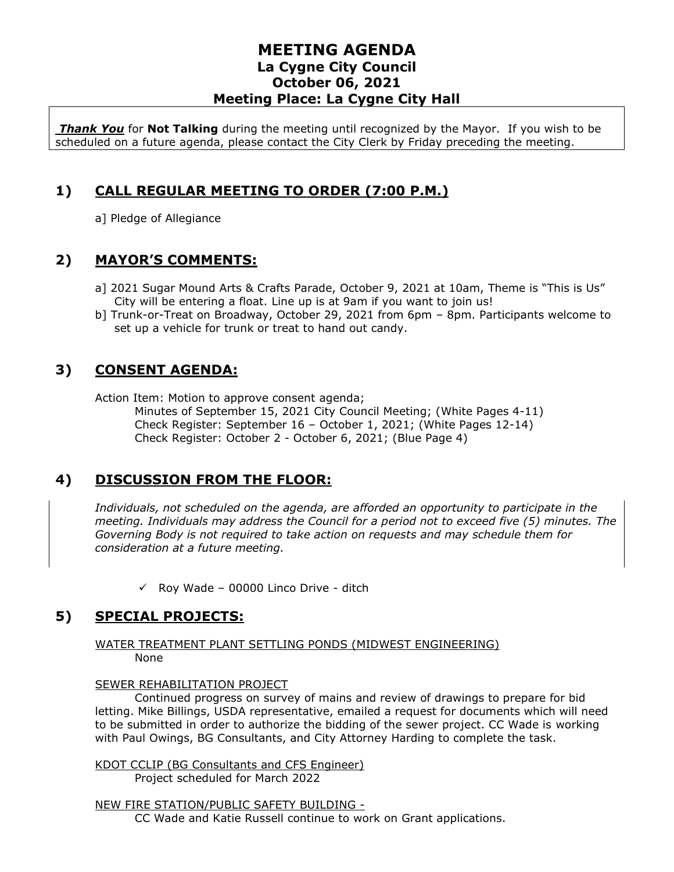## **MEETING AGENDA La Cygne City Council October 06, 2021 Meeting Place: La Cygne City Hall**

*Thank You* for **Not Talking** during the meeting until recognized by the Mayor. If you wish to be scheduled on a future agenda, please contact the City Clerk by Friday preceding the meeting.

# **1) CALL REGULAR MEETING TO ORDER (7:00 P.M.)**

a] Pledge of Allegiance

#### **2) MAYOR'S COMMENTS:**

- a] 2021 Sugar Mound Arts & Crafts Parade, October 9, 2021 at 10am, Theme is "This is Us" City will be entering a float. Line up is at 9am if you want to join us!
- b] Trunk-or-Treat on Broadway, October 29, 2021 from 6pm 8pm. Participants welcome to set up a vehicle for trunk or treat to hand out candy.

## **3) CONSENT AGENDA:**

Action Item: Motion to approve consent agenda;

Minutes of September 15, 2021 City Council Meeting; (White Pages 4-11) Check Register: September 16 – October 1, 2021; (White Pages 12-14) Check Register: October 2 - October 6, 2021; (Blue Page 4)

# **4) DISCUSSION FROM THE FLOOR:**

*Individuals, not scheduled on the agenda, are afforded an opportunity to participate in the meeting. Individuals may address the Council for a period not to exceed five (5) minutes. The Governing Body is not required to take action on requests and may schedule them for consideration at a future meeting.* 

 $\checkmark$  Roy Wade – 00000 Linco Drive - ditch

# **5) SPECIAL PROJECTS:**

#### WATER TREATMENT PLANT SETTLING PONDS (MIDWEST ENGINEERING) None

#### SEWER REHABILITATION PROJECT

Continued progress on survey of mains and review of drawings to prepare for bid letting. Mike Billings, USDA representative, emailed a request for documents which will need to be submitted in order to authorize the bidding of the sewer project. CC Wade is working with Paul Owings, BG Consultants, and City Attorney Harding to complete the task.

KDOT CCLIP (BG Consultants and CFS Engineer) Project scheduled for March 2022

NEW FIRE STATION/PUBLIC SAFETY BUILDING -

CC Wade and Katie Russell continue to work on Grant applications.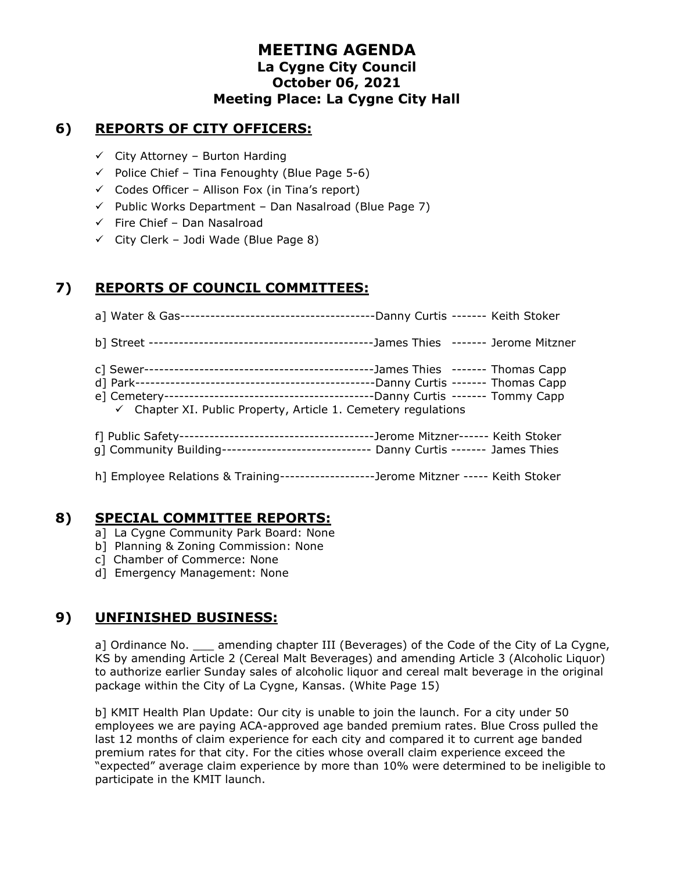## **MEETING AGENDA La Cygne City Council October 06, 2021 Meeting Place: La Cygne City Hall**

## **6) REPORTS OF CITY OFFICERS:**

- $\checkmark$  City Attorney Burton Harding
- $\checkmark$  Police Chief Tina Fenoughty (Blue Page 5-6)
- $\checkmark$  Codes Officer Allison Fox (in Tina's report)
- $\checkmark$  Public Works Department Dan Nasalroad (Blue Page 7)
- $\checkmark$  Fire Chief Dan Nasalroad
- $\checkmark$  City Clerk Jodi Wade (Blue Page 8)

## **7) REPORTS OF COUNCIL COMMITTEES:**

| $\checkmark$ Chapter XI. Public Property, Article 1. Cemetery regulations             |  |
|---------------------------------------------------------------------------------------|--|
| g] Community Building------------------------------- Danny Curtis ------- James Thies |  |
| h] Employee Relations & Training-------------------Jerome Mitzner ----- Keith Stoker  |  |

### **8) SPECIAL COMMITTEE REPORTS:**

- a] La Cygne Community Park Board: None
- b] Planning & Zoning Commission: None
- c] Chamber of Commerce: None
- d] Emergency Management: None

# **9) UNFINISHED BUSINESS:**

a] Ordinance No. \_\_\_ amending chapter III (Beverages) of the Code of the City of La Cygne, KS by amending Article 2 (Cereal Malt Beverages) and amending Article 3 (Alcoholic Liquor) to authorize earlier Sunday sales of alcoholic liquor and cereal malt beverage in the original package within the City of La Cygne, Kansas. (White Page 15)

b] KMIT Health Plan Update: Our city is unable to join the launch. For a city under 50 employees we are paying ACA-approved age banded premium rates. Blue Cross pulled the last 12 months of claim experience for each city and compared it to current age banded premium rates for that city. For the cities whose overall claim experience exceed the "expected" average claim experience by more than 10% were determined to be ineligible to participate in the KMIT launch.